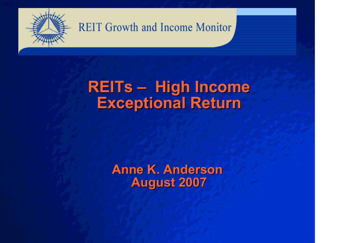

### **REITs – High Income Exceptional Return**

**Anne K. Anderson August 2007**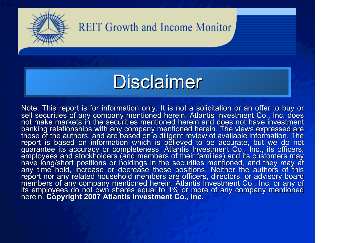

# **Disclaimer**

Note: This report is for information only. It is not <sup>a</sup> solicitation or an offer to buy or sell securities of any company mentioned herein. Atlantis Investment Co., Inc. does not make markets in the securities mentioned herein and does not have investment banking relationships with any company mentioned herein. The views expressed are<br>those of the authors, and are based on a diligent review of available information. The report is based on information which is believed to be accurate, but we do not guarantee its accuracy or completeness. Atlantis Investment Co., Inc., its officers, employees and stockholders (and members of their families) and its customers may<br>have long/short positions or holdings in the securities mentioned, and they may at any time hold, increase or decrease these positions. Neither the authors of this report nor any related household members are officers, directors, or advisory board members of any company mentioned herein. Atlantis Investment Co., Inc. or any of<br>its emplovees do not own shares equal to 1% or more of any company mentioned employees do not own shares equal to 1% or more of any company mentioned herein. **Copyright 2007 Atlantis Investment Co., Inc.**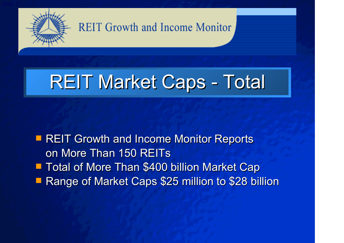

# REIT Market Caps - Total

**REIT Growth and Income Monitor Reports** on More Than 150 REITs **Total of More Than \$400 billion Market Cap Service Service** Range of Market Caps \$25 million to \$28 billion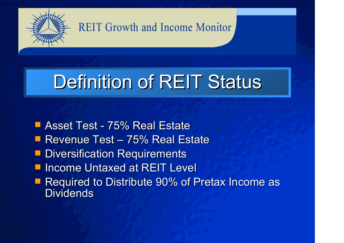

# Definition of REIT Status

■ Asset Test - 75% Real Estate ■ Revenue Test – 75% Real Estate **Diversification Requirements I** Income Untaxed at REIT Level **Required to Distribute 90% of Pretax Income as Dividends**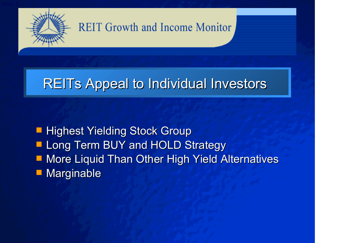

### REITs Appeal to Individual Investors

**Highest Yielding Stock Group**  $\Box$  Long Term BUY and HOLD Strategy ■ More Liquid Than Other High Yield Alternatives  $\Box$ Marginable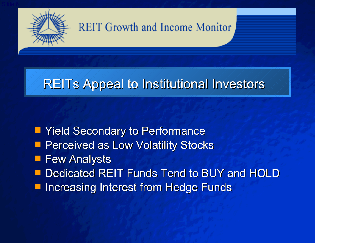

### REITs Appeal to Institutional Investors

**Ta Yield Secondary to Performance Perceived as Low Volatility Stocks Few Analysts Dedicated REIT Funds Tend to BUY and HOLD** Increasing Interest from Hedge Funds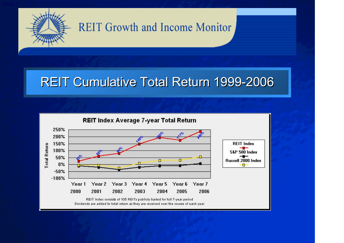

#### REIT Cumulative Total Return 1999-2006

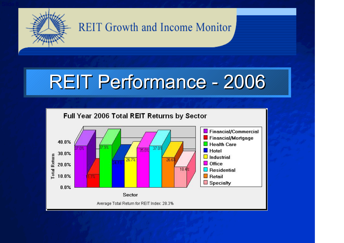

# REIT Performance - 2006

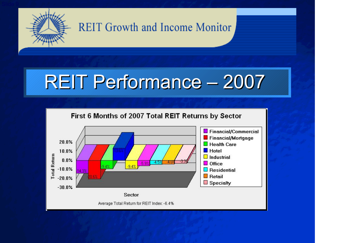

# REIT Performance – 2007

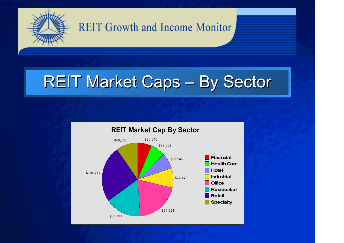

# REIT Market Caps – By Sector

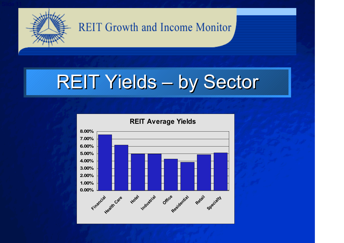

# REIT Yields – by Sector

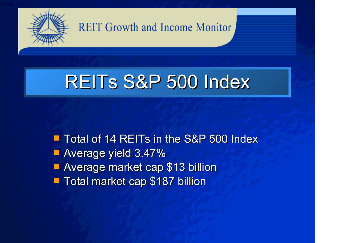

# REITs S&P 500 Index

**The Total of 14 REITs in the S&P 500 Index Average yield 3.47% Average market cap \$13 billion Total market cap \$187 billion**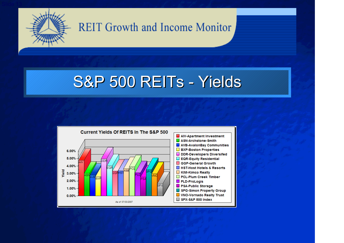

## S&P 500 REITs - Yields

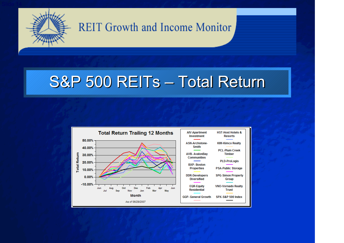

## S&P 500 REITs – Total Return

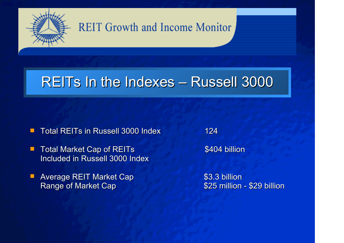

### REITs In the Indexes – Russell 3000

- П ■ Total REITs in Russell 3000 Index 124
- п Total Market Cap of REITs \$404 billion Included in Russell 3000 Index
- п Average REIT Market Cap **\$3.3 billion** Range of Market Cap **\$25 million - \$29 billion**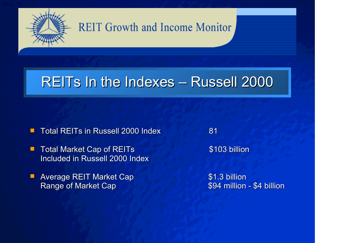

### REITs In the Indexes – Russell 2000

- П ■ Total REITs in Russell 2000 Index 81
- п Total Market Cap of REITs \$103 billion Included in Russell 2000 Index
- п Average REIT Market Cap **\$1.3 billion** Range of Market Cap **\$94 million - \$4 billion**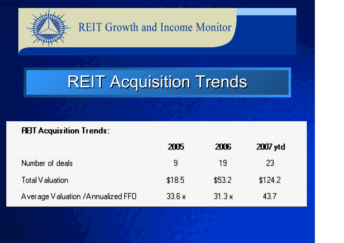

## REIT Acquisition Trends

| <b>REIT Acquisition Trends:</b>      |        |        |          |
|--------------------------------------|--------|--------|----------|
|                                      | 2115   | 2016   | 2007 ytd |
| Number of deals                      |        | 13     | 23       |
| Total Valuation                      | \$18.5 | \$53.2 | \$124.2  |
| A verage V aluation / Annualized FFO | 33 6 x | 31 S x | 43.7     |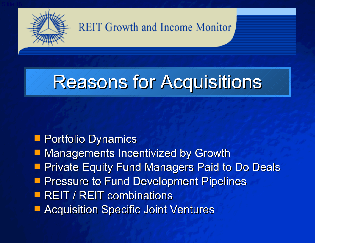

# Reasons for Acquisitions

#### **Portfolio Dynamics**

- **E Managements Incentivized by Growth**
- **Service Service Private Equity Fund Managers Paid to Do Deals**
- **Pressure to Fund Development Pipelines**
- **REIT / REIT combinations**
- **E Acquisition Specific Joint Ventures**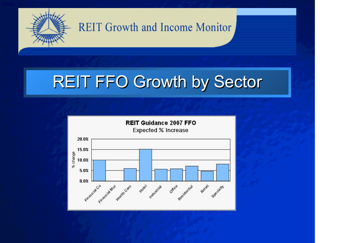

## REIT FFO Growth by Sector

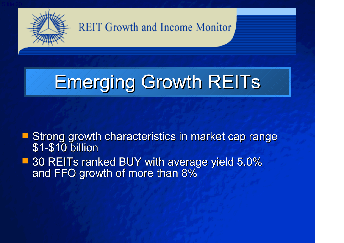

# Emerging Growth REITs

**Strong growth characteristics in market cap range** \$1-\$10 billion ■ 30 REITs ranked BUY with average yield 5.0% and FFO growth of more than 8%  $\,$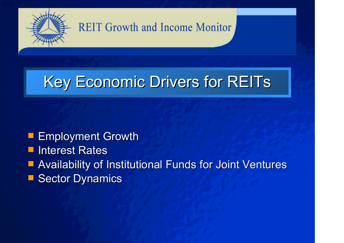

## Key Economic Drivers for REITs

**Employment Growth** 

**L** Interest Rates

Availability of Institutional Funds for Joint Ventures

**Sector Dynamics**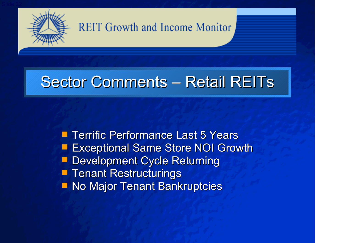

## Sector Comments – Retail REITs

**Terrific Performance Last 5 Years Exceptional Same Store NOI Growth Development Cycle Returning Tenant Restructurings No Major Tenant Bankruptcies**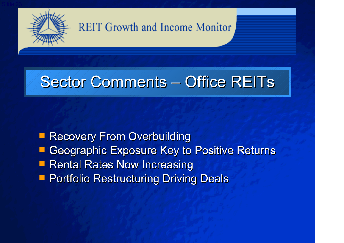

## Sector Comments – Office REITs

**Recovery From Overbuilding E Geographic Exposure Key to Positive Returns Rental Rates Now Increasing Portfolio Restructuring Driving Deals**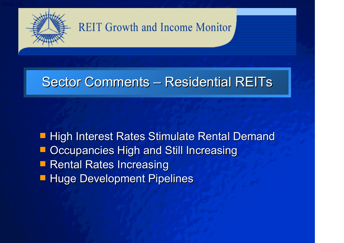

### Sector Comments – Residential REITs

 High Interest Rates Stimulate Rental Demand **DECCUPANCIES High and Still Increasing Rental Rates Increasing Huge Development Pipelines**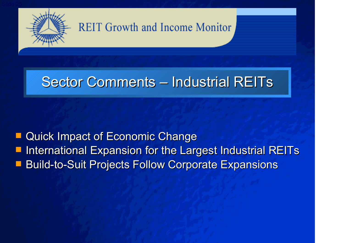

### Sector Comments – Industrial REITs

 Quick Impact of Economic Change International Expansion for the Largest Industrial REITs Build-to-Suit Projects Follow Corporate Expansions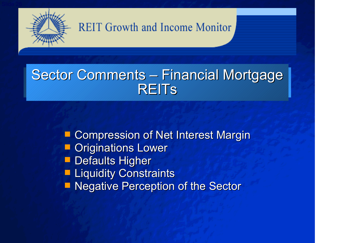

### Sector Comments – Financial Mortgage **REITS**

p. Compression of Net Interest Margin ka k Originations Lower **Defaults Higher Liquidity Constraints E Negative Perception of the Sector**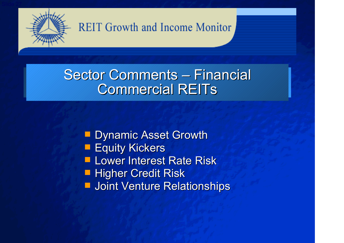

### Sector Comments – Financial Commercial REITs

**Dynamic Asset Growth** 

- **Equity Kickers**
- **Lower Interest Rate Risk**
- **Higher Credit Risk**
- **L** Joint Venture Relationships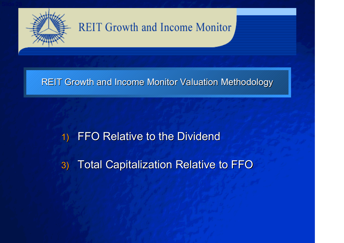

#### REIT Growth and Income Monitor Valuation Methodology

#### 1) FFO Relative to the Dividend

3) Total Capitalization Relative to FFO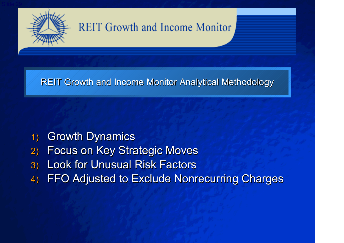

REIT Growth and Income Monitor Analytical Methodology

- 1) Growth Dynamics
- 2) Focus on Key Strategic Moves
- 3) Look for Unusual Risk Factors
- 4) FFO Adjusted to Exclude Nonrecurring Charges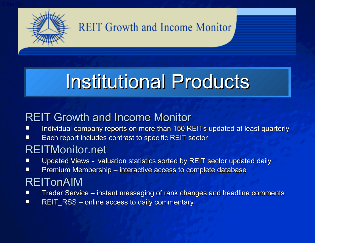

# Institutional Products

#### REIT Growth and Income Monitor

- П ■ Individual company reports on more than 150 REITs updated at least quarterly
- $\Box$  $\blacksquare$  Each report includes contrast to specific REIT sector

#### REITMonitor.net

- П Updated Views - valuation statistics sorted by REIT sector updated daily
- П ■ Premium Membership – interactive access to complete database

#### REITonAIM

- **Tale** ■ Trader Service – instant messaging of rank changes and headline comments
- П ■ REIT\_RSS – online access to daily commentary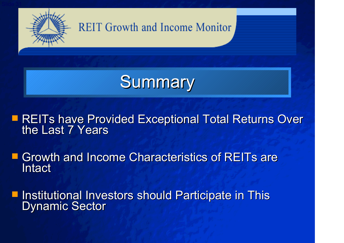

#### **REITs have Provided Exceptional Total Returns Over**<br>the Last 7 Years the Last 7 Years

**Service Service E** Growth and Income Characteristics of REITs are Intact

Institutional Investors should Participate in This Dynamic Sector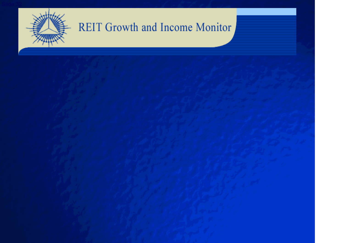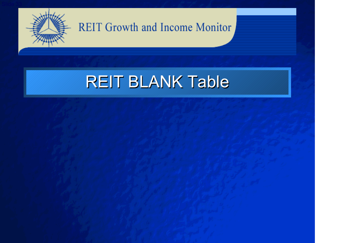